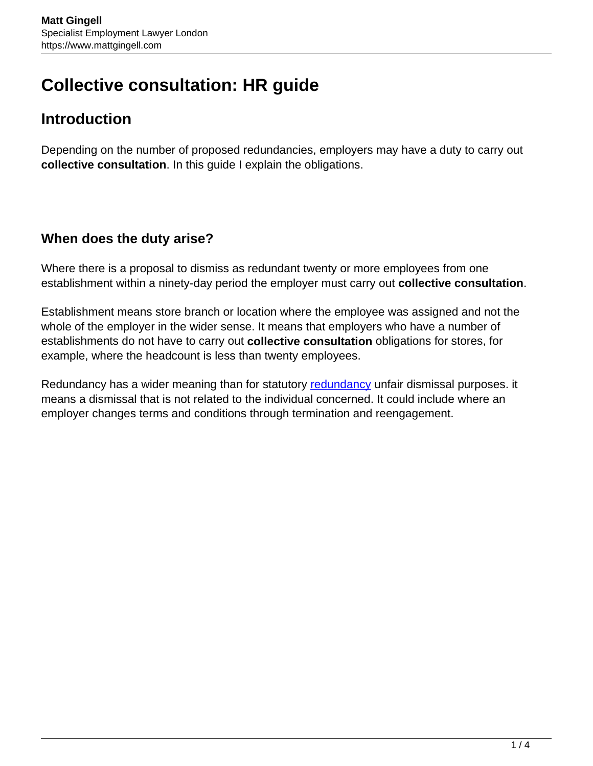# **Collective consultation: HR guide**

# **Introduction**

Depending on the number of proposed redundancies, employers may have a duty to carry out **collective consultation**. In this guide I explain the obligations.

## **When does the duty arise?**

Where there is a proposal to dismiss as redundant twenty or more employees from one establishment within a ninety-day period the employer must carry out **collective consultation**.

Establishment means store branch or location where the employee was assigned and not the whole of the employer in the wider sense. It means that employers who have a number of establishments do not have to carry out **collective consultation** obligations for stores, for example, where the headcount is less than twenty employees.

Redundancy has a wider meaning than for statutory [redundancy](https://www.mattgingell.com/redundancy/) unfair dismissal purposes. it means a dismissal that is not related to the individual concerned. It could include where an employer changes terms and conditions through termination and reengagement.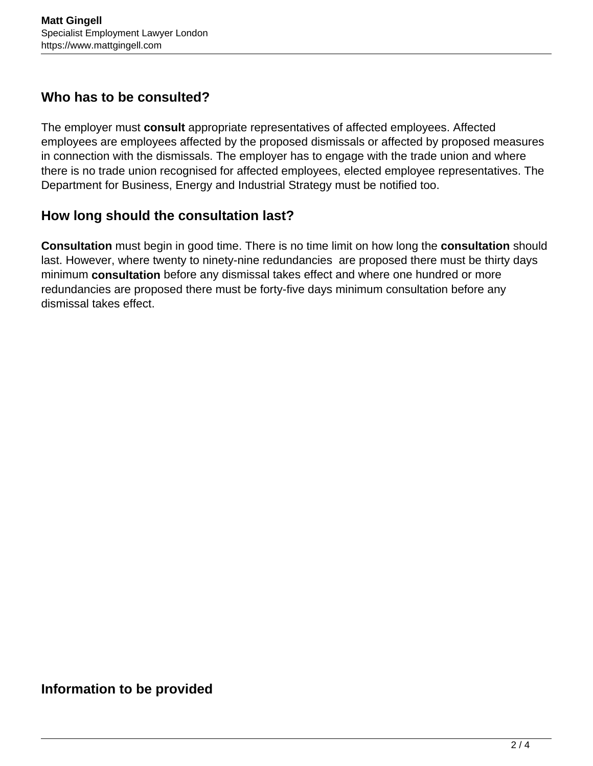#### **Who has to be consulted?**

The employer must **consult** appropriate representatives of affected employees. Affected employees are employees affected by the proposed dismissals or affected by proposed measures in connection with the dismissals. The employer has to engage with the trade union and where there is no trade union recognised for affected employees, elected employee representatives. The Department for Business, Energy and Industrial Strategy must be notified too.

## **How long should the consultation last?**

**Consultation** must begin in good time. There is no time limit on how long the **consultation** should last. However, where twenty to ninety-nine redundancies are proposed there must be thirty days minimum **consultation** before any dismissal takes effect and where one hundred or more redundancies are proposed there must be forty-five days minimum consultation before any dismissal takes effect.

#### **Information to be provided**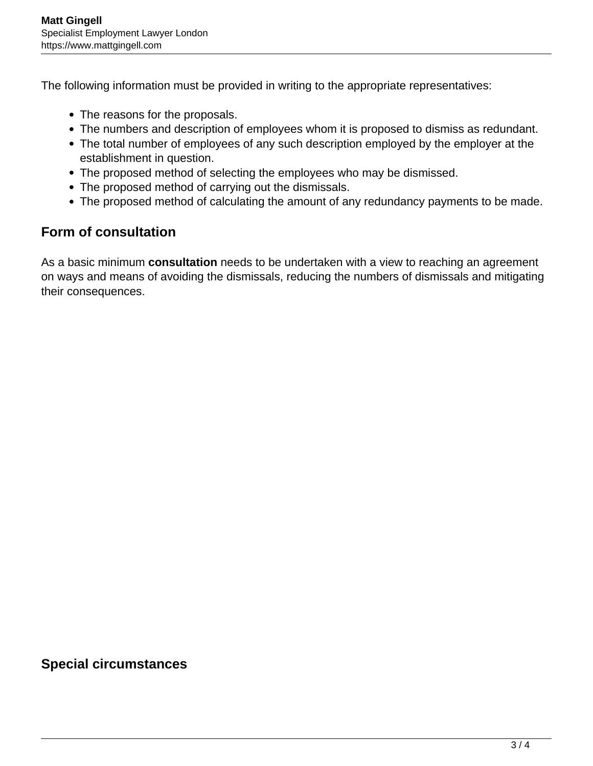The following information must be provided in writing to the appropriate representatives:

- The reasons for the proposals.
- The numbers and description of employees whom it is proposed to dismiss as redundant.
- The total number of employees of any such description employed by the employer at the establishment in question.
- The proposed method of selecting the employees who may be dismissed.
- The proposed method of carrying out the dismissals.
- The proposed method of calculating the amount of any redundancy payments to be made.

## **Form of consultation**

As a basic minimum **consultation** needs to be undertaken with a view to reaching an agreement on ways and means of avoiding the dismissals, reducing the numbers of dismissals and mitigating their consequences.

#### **Special circumstances**